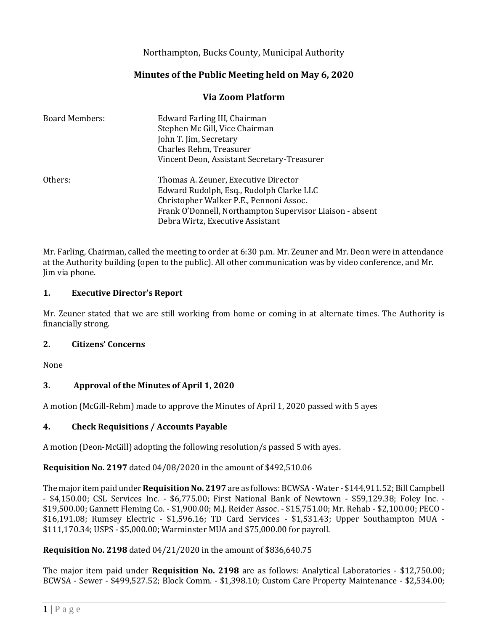## Northampton, Bucks County, Municipal Authority

# **Minutes of the Public Meeting held on May 6, 2020**

### **Via Zoom Platform**

| <b>Board Members:</b> | Edward Farling III, Chairman                             |
|-----------------------|----------------------------------------------------------|
|                       | Stephen Mc Gill, Vice Chairman                           |
|                       | John T. Jim, Secretary                                   |
|                       | Charles Rehm, Treasurer                                  |
|                       | Vincent Deon, Assistant Secretary-Treasurer              |
| Others:               | Thomas A. Zeuner, Executive Director                     |
|                       | Edward Rudolph, Esq., Rudolph Clarke LLC                 |
|                       | Christopher Walker P.E., Pennoni Assoc.                  |
|                       | Frank O'Donnell, Northampton Supervisor Liaison - absent |
|                       | Debra Wirtz, Executive Assistant                         |

Mr. Farling, Chairman, called the meeting to order at 6:30 p.m. Mr. Zeuner and Mr. Deon were in attendance at the Authority building (open to the public). All other communication was by video conference, and Mr. Jim via phone.

#### **1. Executive Director's Report**

Mr. Zeuner stated that we are still working from home or coming in at alternate times. The Authority is financially strong.

#### **2. Citizens' Concerns**

None

#### **3. Approval of the Minutes of April 1, 2020**

A motion (McGill-Rehm) made to approve the Minutes of April 1, 2020 passed with 5 ayes

#### **4. Check Requisitions / Accounts Payable**

A motion (Deon-McGill) adopting the following resolution/s passed 5 with ayes.

#### **Requisition No. 2197** dated 04/08/2020 in the amount of \$492,510.06

The major item paid under **Requisition No. 2197** are as follows: BCWSA - Water - \$144,911.52; Bill Campbell - \$4,150.00; CSL Services Inc. - \$6,775.00; First National Bank of Newtown - \$59,129.38; Foley Inc. - \$19,500.00; Gannett Fleming Co. - \$1,900.00; M.J. Reider Assoc. - \$15,751.00; Mr. Rehab - \$2,100.00; PECO - \$16,191.08; Rumsey Electric - \$1,596.16; TD Card Services - \$1,531.43; Upper Southampton MUA - \$111,170.34; USPS - \$5,000.00; Warminster MUA and \$75,000.00 for payroll.

#### **Requisition No. 2198** dated 04/21/2020 in the amount of \$836,640.75

The major item paid under **Requisition No. 2198** are as follows: Analytical Laboratories - \$12,750.00; BCWSA - Sewer - \$499,527.52; Block Comm. - \$1,398.10; Custom Care Property Maintenance - \$2,534.00;